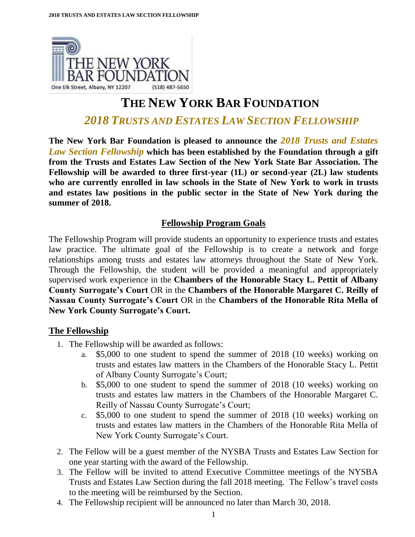

# **THE NEW YORK BAR FOUNDATION**

## *2018 TRUSTS AND ESTATES LAW SECTION FELLOWSHIP*

**The New York Bar Foundation is pleased to announce the** *2018 Trusts and Estates Law Section Fellowship* **which has been established by the Foundation through a gift from the Trusts and Estates Law Section of the New York State Bar Association. The Fellowship will be awarded to three first-year (1L) or second-year (2L) law students who are currently enrolled in law schools in the State of New York to work in trusts and estates law positions in the public sector in the State of New York during the summer of 2018.** 

### **Fellowship Program Goals**

The Fellowship Program will provide students an opportunity to experience trusts and estates law practice. The ultimate goal of the Fellowship is to create a network and forge relationships among trusts and estates law attorneys throughout the State of New York. Through the Fellowship, the student will be provided a meaningful and appropriately supervised work experience in the **Chambers of the Honorable Stacy L. Pettit of Albany County Surrogate's Court** OR in the **Chambers of the Honorable Margaret C. Reilly of Nassau County Surrogate's Court** OR in the **Chambers of the Honorable Rita Mella of New York County Surrogate's Court.**

#### **The Fellowship**

- 1. The Fellowship will be awarded as follows:
	- a. \$5,000 to one student to spend the summer of 2018 (10 weeks) working on trusts and estates law matters in the Chambers of the Honorable Stacy L. Pettit of Albany County Surrogate's Court;
	- b. \$5,000 to one student to spend the summer of 2018 (10 weeks) working on trusts and estates law matters in the Chambers of the Honorable Margaret C. Reilly of Nassau County Surrogate's Court;
	- c. \$5,000 to one student to spend the summer of 2018 (10 weeks) working on trusts and estates law matters in the Chambers of the Honorable Rita Mella of New York County Surrogate's Court.
- 2. The Fellow will be a guest member of the NYSBA Trusts and Estates Law Section for one year starting with the award of the Fellowship.
- 3. The Fellow will be invited to attend Executive Committee meetings of the NYSBA Trusts and Estates Law Section during the fall 2018 meeting. The Fellow's travel costs to the meeting will be reimbursed by the Section.
- 4. The Fellowship recipient will be announced no later than March 30, 2018.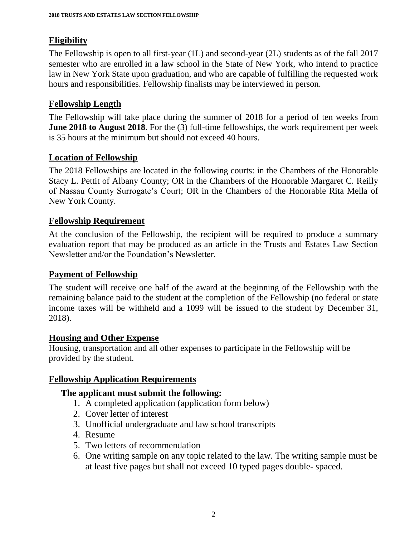### **Eligibility**

The Fellowship is open to all first-year (1L) and second-year (2L) students as of the fall 2017 semester who are enrolled in a law school in the State of New York, who intend to practice law in New York State upon graduation, and who are capable of fulfilling the requested work hours and responsibilities. Fellowship finalists may be interviewed in person.

#### **Fellowship Length**

The Fellowship will take place during the summer of 2018 for a period of ten weeks from **June 2018 to August 2018**. For the (3) full-time fellowships, the work requirement per week is 35 hours at the minimum but should not exceed 40 hours.

#### **Location of Fellowship**

The 2018 Fellowships are located in the following courts: in the Chambers of the Honorable Stacy L. Pettit of Albany County; OR in the Chambers of the Honorable Margaret C. Reilly of Nassau County Surrogate's Court; OR in the Chambers of the Honorable Rita Mella of New York County.

### **Fellowship Requirement**

At the conclusion of the Fellowship, the recipient will be required to produce a summary evaluation report that may be produced as an article in the Trusts and Estates Law Section Newsletter and/or the Foundation's Newsletter.

#### **Payment of Fellowship**

The student will receive one half of the award at the beginning of the Fellowship with the remaining balance paid to the student at the completion of the Fellowship (no federal or state income taxes will be withheld and a 1099 will be issued to the student by December 31, 2018).

#### **Housing and Other Expense**

Housing, transportation and all other expenses to participate in the Fellowship will be provided by the student.

#### **Fellowship Application Requirements**

#### **The applicant must submit the following:**

- 1. A completed application (application form below)
- 2. Cover letter of interest
- 3. Unofficial undergraduate and law school transcripts
- 4. Resume
- 5. Two letters of recommendation
- 6. One writing sample on any topic related to the law. The writing sample must be at least five pages but shall not exceed 10 typed pages double- spaced.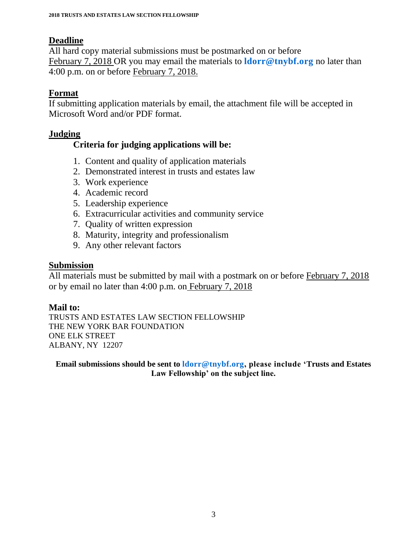#### **Deadline**

All hard copy material submissions must be postmarked on or before February 7, 2018 OR you may email the materials to **[ldorr@tnybf.org](mailto:ldorr@tnybf.org)** no later than 4:00 p.m. on or before February 7, 2018.

### **Format**

If submitting application materials by email, the attachment file will be accepted in Microsoft Word and/or PDF format.

#### **Judging**

### **Criteria for judging applications will be:**

- 1. Content and quality of application materials
- 2. Demonstrated interest in trusts and estates law
- 3. Work experience
- 4. Academic record
- 5. Leadership experience
- 6. Extracurricular activities and community service
- 7. Quality of written expression
- 8. Maturity, integrity and professionalism
- 9. Any other relevant factors

### **Submission**

All materials must be submitted by mail with a postmark on or before February 7, 2018 or by email no later than 4:00 p.m. on February 7, 2018

#### **Mail to:**

TRUSTS AND ESTATES LAW SECTION FELLOWSHIP THE NEW YORK BAR FOUNDATION ONE ELK STREET ALBANY, NY 12207

**Email submissions should be sent to [ldorr@tnybf.org,](mailto:ldorr@tnybf.org) please include 'Trusts and Estates Law Fellowship' on the subject line.**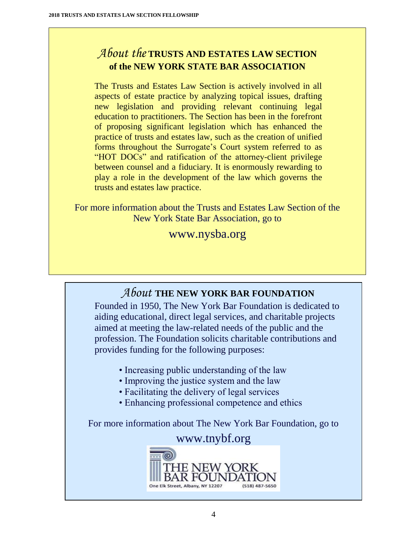# *About the* **TRUSTS AND ESTATES LAW SECTION of the NEW YORK STATE BAR ASSOCIATION**

The Trusts and Estates Law Section is actively involved in all aspects of estate practice by analyzing topical issues, drafting new legislation and providing relevant continuing legal education to practitioners. The Section has been in the forefront of proposing significant legislation which has enhanced the practice of trusts and estates law, such as the creation of unified forms throughout the Surrogate's Court system referred to as "HOT DOCs" and ratification of the attorney-client privilege between counsel and a fiduciary. It is enormously rewarding to play a role in the development of the law which governs the trusts and estates law practice.

For more information about the Trusts and Estates Law Section of the New York State Bar Association, go to

## www.nysba.org

# *About* **THE NEW YORK BAR FOUNDATION**

Founded in 1950, The New York Bar Foundation is dedicated to aiding educational, direct legal services, and charitable projects aimed at meeting the law-related needs of the public and the profession. The Foundation solicits charitable contributions and provides funding for the following purposes:

- Increasing public understanding of the law
- Improving the justice system and the law
- Facilitating the delivery of legal services
- Enhancing professional competence and ethics

For more information about The New York Bar Foundation, go to

### www.tnybf.org

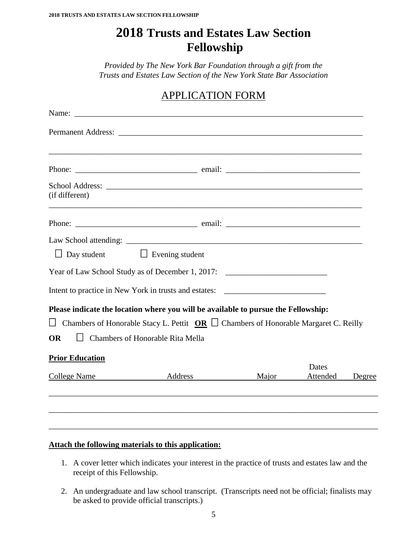# **2018 Trusts and Estates Law Section Fellowship**

*Provided by The New York Bar Foundation through a gift from the Trusts and Estates Law Section of the New York State Bar Association*

## APPLICATION FORM

| (if different)         | ,我们也不会有什么。""我们的人,我们也不会有什么?""我们的人,我们也不会有什么?""我们的人,我们的人,我们的人,我们的人,我们的人,我们的人,我们的人,我们                                                                                                                                         |       |          |        |
|------------------------|---------------------------------------------------------------------------------------------------------------------------------------------------------------------------------------------------------------------------|-------|----------|--------|
|                        |                                                                                                                                                                                                                           |       |          |        |
|                        |                                                                                                                                                                                                                           |       |          |        |
| Day student            | $\Box$ Evening student                                                                                                                                                                                                    |       |          |        |
|                        | Year of Law School Study as of December 1, 2017:                                                                                                                                                                          |       |          |        |
|                        | Intent to practice in New York in trusts and estates: ___________________________                                                                                                                                         |       |          |        |
| $\perp$<br><b>OR</b>   | Please indicate the location where you will be available to pursue the Fellowship:<br>Chambers of Honorable Stacy L. Pettit $OR \Box$ Chambers of Honorable Margaret C. Reilly<br><b>Chambers of Honorable Rita Mella</b> |       |          |        |
| <b>Prior Education</b> |                                                                                                                                                                                                                           |       | Dates    |        |
| College Name           | Address                                                                                                                                                                                                                   | Major | Attended | Degree |
|                        |                                                                                                                                                                                                                           |       |          |        |
|                        |                                                                                                                                                                                                                           |       |          |        |

#### **Attach the following materials to this application:**

- 1. A cover letter which indicates your interest in the practice of trusts and estates law and the receipt of this Fellowship.
- 2. An undergraduate and law school transcript. (Transcripts need not be official; finalists may be asked to provide official transcripts.)